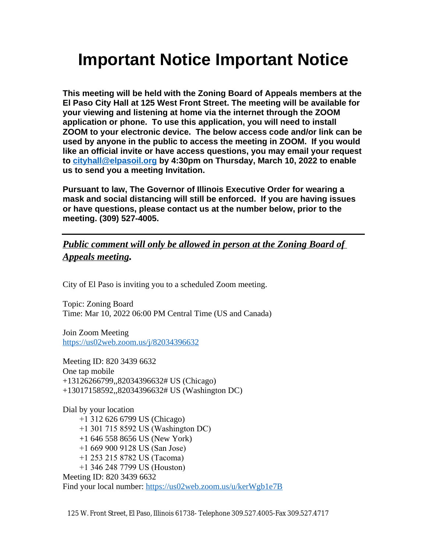# **Important Notice Important Notice**

**This meeting will be held with the Zoning Board of Appeals members at the El Paso City Hall at 125 West Front Street. The meeting will be available for your viewing and listening at home via the internet through the ZOOM application or phone. To use this application, you will need to install ZOOM to your electronic device. The below access code and/or link can be used by anyone in the public to access the meeting in ZOOM. If you would like an official invite or have access questions, you may email your request to [cityhall@elpasoil.org](mailto:cityhall@elpasoil.org) by 4:30pm on Thursday, March 10, 2022 to enable us to send you a meeting Invitation.**

**Pursuant to law, The Governor of Illinois Executive Order for wearing a mask and social distancing will still be enforced. If you are having issues or have questions, please contact us at the number below, prior to the meeting. (309) 527-4005.**

#### *Public comment will only be allowed in person at the Zoning Board of Appeals meeting.*

City of El Paso is inviting you to a scheduled Zoom meeting.

Topic: Zoning Board Time: Mar 10, 2022 06:00 PM Central Time (US and Canada)

Join Zoom Meeting <https://us02web.zoom.us/j/82034396632>

[Meeting ID: 820 3439 6632](https://us02web.zoom.us/j/82034396632) [One tap mobile](https://us02web.zoom.us/j/82034396632) [+13126266799,,82034396632# US \(Chicago\)](https://us02web.zoom.us/j/82034396632) [+13017158592,,82034396632# US \(Washington DC\)](https://us02web.zoom.us/j/82034396632)

[Dial by your location](https://us02web.zoom.us/j/82034396632)  [+1 31](https://us02web.zoom.us/j/82034396632)[2 626 6799 US \(Chicago\)](https://us02web.zoom.us/j/82034396632)  [+1 301 715 8592 US \(Washington DC\)](https://us02web.zoom.us/j/82034396632) [+1 646 558 8656 US \(New York\)](https://us02web.zoom.us/j/82034396632)  [+1 669 900 9128 US \(San Jose\)](https://us02web.zoom.us/j/82034396632)  [+1 253 215 8782 US \(Tacoma\)](https://us02web.zoom.us/j/82034396632)  [+1 346 248 7799 US \(Houston\)](https://us02web.zoom.us/j/82034396632) [Meeting ID: 820 3439 6632](https://us02web.zoom.us/j/82034396632) [Find your local number:](https://us02web.zoom.us/j/82034396632) <https://us02web.zoom.us/u/kerWgb1e7B>